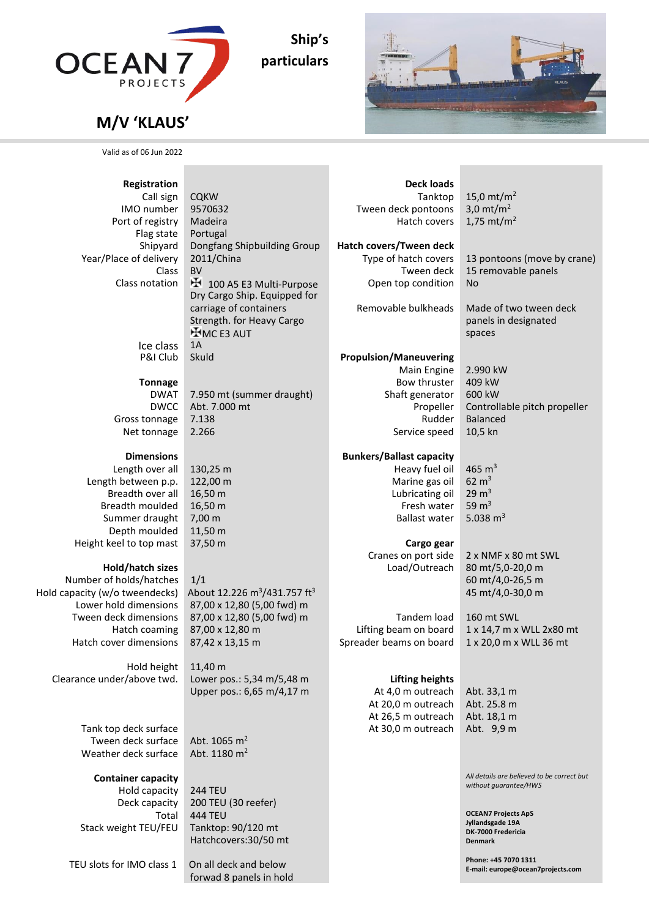

**Ship's particulars**



**E-mail: europe@ocean7projects.com**

## **M/V 'KLAUS'**

Valid as of 06 Jun 2022

| Registration                                    |                                                           | <b>Deck loads</b>                    |                                                           |
|-------------------------------------------------|-----------------------------------------------------------|--------------------------------------|-----------------------------------------------------------|
| Call sign                                       | <b>CQKW</b>                                               | Tanktop                              | 15,0 mt/m <sup>2</sup>                                    |
| IMO number                                      | 9570632                                                   | Tween deck pontoons                  | 3,0 $mt/m2$                                               |
| Port of registry                                | Madeira                                                   | Hatch covers                         | 1,75 mt/m <sup>2</sup>                                    |
| Flag state                                      | Portugal                                                  |                                      |                                                           |
| Shipyard                                        | Dongfang Shipbuilding Group                               | Hatch covers/Tween deck              |                                                           |
| Year/Place of delivery                          | 2011/China                                                | Type of hatch covers                 | 13 pontoons (move by crane)                               |
| Class                                           | <b>BV</b>                                                 | Tween deck                           | 15 removable panels                                       |
| Class notation                                  | H 100 A5 E3 Multi-Purpose<br>Dry Cargo Ship. Equipped for | Open top condition                   | <b>No</b>                                                 |
|                                                 | carriage of containers                                    | Removable bulkheads                  | Made of two tween deck                                    |
|                                                 | Strength. for Heavy Cargo                                 |                                      | panels in designated                                      |
|                                                 | $H$ MC E3 AUT                                             |                                      | spaces                                                    |
| Ice class                                       | 1A                                                        |                                      |                                                           |
| P&I Club                                        | Skuld                                                     | <b>Propulsion/Maneuvering</b>        |                                                           |
|                                                 |                                                           | Main Engine                          | 2.990 kW                                                  |
| <b>Tonnage</b>                                  |                                                           | Bow thruster                         | 409 kW                                                    |
| <b>DWAT</b>                                     | 7.950 mt (summer draught)                                 | Shaft generator                      | 600 kW                                                    |
| <b>DWCC</b>                                     | Abt. 7.000 mt                                             | Propeller                            | Controllable pitch propeller                              |
| Gross tonnage                                   | 7.138                                                     | Rudder                               | <b>Balanced</b>                                           |
| Net tonnage                                     | 2.266                                                     | Service speed                        | 10,5 kn                                                   |
|                                                 |                                                           |                                      |                                                           |
| <b>Dimensions</b>                               | 130,25 m                                                  | <b>Bunkers/Ballast capacity</b>      | 465 $\,$ m <sup>3</sup>                                   |
| Length over all<br>Length between p.p.          | 122,00 m                                                  | Heavy fuel oil<br>Marine gas oil     | $62 \text{ m}^3$                                          |
| Breadth over all                                | 16,50 m                                                   | Lubricating oil                      | $29 \text{ m}^3$                                          |
| Breadth moulded                                 | 16,50 m                                                   | Fresh water                          | 59 $m3$                                                   |
| Summer draught                                  | 7,00 m                                                    | <b>Ballast water</b>                 | 5.038 $m3$                                                |
| Depth moulded                                   | 11,50 m                                                   |                                      |                                                           |
| Height keel to top mast                         | 37,50 m                                                   | Cargo gear                           |                                                           |
|                                                 |                                                           | Cranes on port side                  | 2 x NMF x 80 mt SWL                                       |
| Hold/hatch sizes                                |                                                           | Load/Outreach                        | 80 mt/5,0-20,0 m                                          |
| Number of holds/hatches                         | 1/1                                                       |                                      | 60 mt/4,0-26,5 m                                          |
| Hold capacity (w/o tweendecks)                  | About 12.226 m <sup>3</sup> /431.757 ft <sup>3</sup>      |                                      | 45 mt/4,0-30,0 m                                          |
| Lower hold dimensions                           | 87,00 x 12,80 (5,00 fwd) m                                |                                      |                                                           |
| Tween deck dimensions                           | 87,00 x 12,80 (5,00 fwd) m                                | Tandem load<br>Lifting beam on board | 160 mt SWL                                                |
| Hatch coaming<br>Hatch cover dimensions         | 87,00 x 12,80 m<br>87,42 x 13,15 m                        | Spreader beams on board              | 1 x 14,7 m x WLL 2x80 mt<br>1 x 20,0 m x WLL 36 mt        |
|                                                 |                                                           |                                      |                                                           |
| Hold height                                     | 11,40 m                                                   |                                      |                                                           |
| Clearance under/above twd.                      | Lower pos.: 5,34 m/5,48 m                                 | <b>Lifting heights</b>               |                                                           |
|                                                 | Upper pos.: 6,65 m/4,17 m                                 | At 4,0 m outreach                    | Abt. 33,1 m                                               |
|                                                 |                                                           | At 20,0 m outreach                   | Abt. 25.8 m                                               |
|                                                 |                                                           | At 26,5 m outreach                   | Abt. 18,1 m                                               |
| Tank top deck surface                           |                                                           | At 30,0 m outreach                   | Abt. 9,9 m                                                |
| Tween deck surface                              | Abt. 1065 $m2$                                            |                                      |                                                           |
| Weather deck surface                            | Abt. 1180 m <sup>2</sup>                                  |                                      |                                                           |
|                                                 |                                                           |                                      | All details are believed to be correct but                |
| <b>Container capacity</b><br>Hold capacity      | 244 TEU                                                   |                                      | without guarantee/HWS                                     |
| Deck capacity                                   | 200 TEU (30 reefer)                                       |                                      |                                                           |
| Total                                           | 444 TEU                                                   |                                      | <b>OCEAN7 Projects ApS</b>                                |
| Stack weight TEU/FEU                            | Tanktop: 90/120 mt                                        |                                      | Jyllandsgade 19A                                          |
|                                                 | Hatchcovers:30/50 mt                                      |                                      | DK-7000 Fredericia<br><b>Denmark</b>                      |
|                                                 |                                                           |                                      |                                                           |
| TEU slots for IMO class 1 On all deck and below |                                                           |                                      | Phone: +45 7070 1311<br>E mail: aurano@acoan7nroiocts con |

forwad 8 panels in hold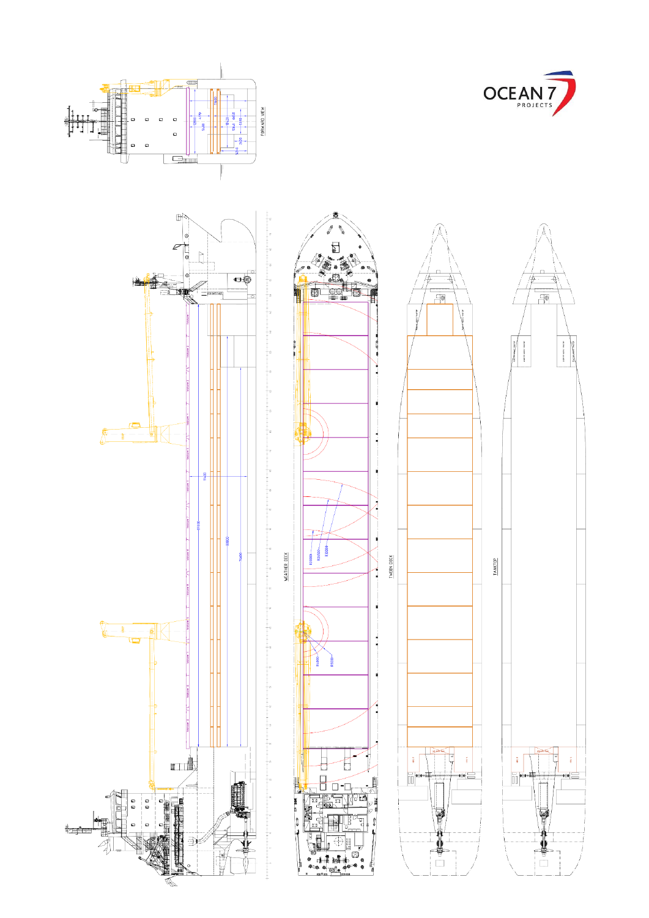

 $5 - 20 + 15 = 15$ 

∞≓



 $\begin{picture}(220,20) \put(0,0){\line(1,0){10}} \put(15,0){\line(1,0){10}} \put(15,0){\line(1,0){10}} \put(15,0){\line(1,0){10}} \put(15,0){\line(1,0){10}} \put(15,0){\line(1,0){10}} \put(15,0){\line(1,0){10}} \put(15,0){\line(1,0){10}} \put(15,0){\line(1,0){10}} \put(15,0){\line(1,0){10}} \put(15,0){\line(1,0){10}} \put(15,0){\line($ 

中国区

<del>∜⊥⊔ैत</del>म